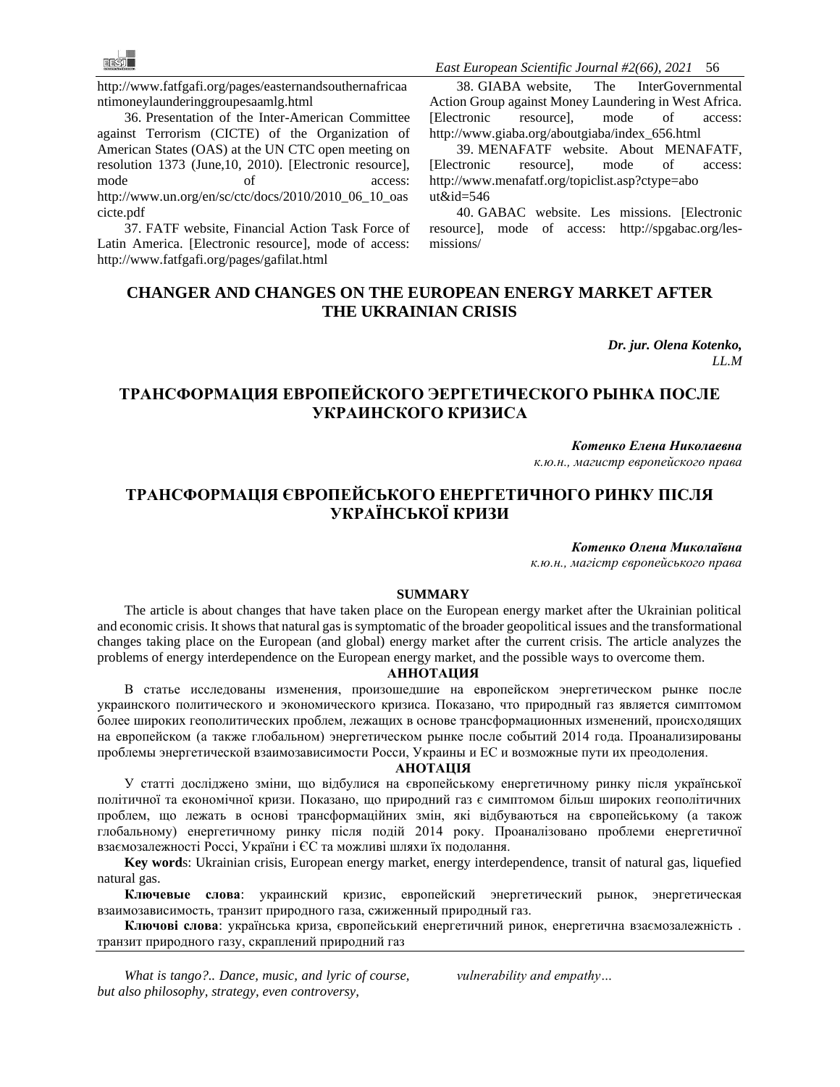[http://www.fatfgafi.org/pages/easternandsouthernafricaa](http://www.fatf-gafi.org/pages/easternandsouthernafricaanti-moneylaunderinggroupesaamlg.html) [ntimoneylaunderinggroupesaamlg.html](http://www.fatf-gafi.org/pages/easternandsouthernafricaanti-moneylaunderinggroupesaamlg.html)

36. Presentation of the Inter-American Committee against Terrorism (CICTE) of the Organization of American States (OAS) at the UN CTC open meeting on resolution 1373 (June,10, 2010). [Electronic resource], mode of access: [http://www.un.org/en/sc/ctc/docs/2010/2010\\_06\\_10\\_oas](http://www.un.org/en/sc/ctc/docs/2010/2010_06_10_oascicte.pdf) [cicte.pdf](http://www.un.org/en/sc/ctc/docs/2010/2010_06_10_oascicte.pdf)

37. FATF website, Financial Action Task Force of Latin America. [Electronic resource], mode of access: [http://www.fatfgafi.org/pages/gafilat.html](http://www.fatf-gafi.org/pages/gafilat.html)

*East European Scientific Journal #2(66), 2021* 56

38. GIABA website, The InterGovernmental Action Group against Money Laundering in West Africa. [Electronic resource], mode of access: [http://www.giaba.org/aboutgiaba/index\\_656.html](http://www.giaba.org/about-giaba/index_656.html)

39. MENAFATF website. About MENAFATF, [Electronic resource], mode of access: [http://www.menafatf.org/topiclist.asp?ctype=abo](http://www.menafatf.org/topiclist.asp?ctype=about&id=546)   $ut\&id = 546$ 

40. GABAC website. Les missions. [Electronic resource], mode of access: [http://spgabac.org/les](http://spgabac.org/les-missions/)[missions/](http://spgabac.org/les-missions/)

### **CHANGER AND CHANGES ON THE EUROPEAN ENERGY MARKET AFTER THE UKRAINIAN CRISIS**

*Dr. jur. Olena Kotenko, LL.M* 

## **ТРАНСФОРМАЦИЯ ЕВРОПЕЙСКОГО ЭЕРГЕТИЧЕСКОГО РЫНКА ПОСЛЕ УКРАИНСКОГО КРИЗИСА**

*Котенко Елена Николаевна к.ю.н., магистр европейского права*

# **ТРАНСФОРМАЦІЯ ЄВРОПЕЙСЬКОГО ЕНЕРГЕТИЧНОГО РИНКУ ПІСЛЯ УКРАЇНСЬКОЇ КРИЗИ**

*Котенко Олена Миколаївна к.ю.н., магістр європейського права* 

#### **SUMMARY**

The article is about changes that have taken place on the European energy market after the Ukrainian political and economic crisis. It shows that natural gas is symptomatic of the broader geopolitical issues and the transformational changes taking place on the European (and global) energy market after the current crisis. The article analyzes the problems of energy interdependence on the European energy market, and the possible ways to overcome them.

#### **АННОТАЦИЯ**

В статье исследованы изменения, произошедшие на европейском энергетическом рынке после украинского политического и экономического кризиса. Показано, что природный газ является симптомом более широких геополитических проблем, лежащих в основе трансформационных изменений, происходящих на европейском (а также глобальном) энергетическом рынке после событий 2014 года. Проанализированы проблемы энергетической взаимозависимости Росси, Украины и ЕС и возможные пути их преодоления.

#### **АНОТАЦІЯ**

У статті досліджено зміни, що відбулися на європейському енергетичному ринку після української політичної та економічної кризи. Показано, що природний газ є симптомом більш широких геополітичних проблем, що лежать в основі трансформаційних змін, які відбуваються на європейському (а також глобальному) енергетичному ринку після подій 2014 року. Проаналізовано проблеми енергетичної взаємозалежності Россі, України і ЄС та можливі шляхи їх подолання.

**Key word**s: Ukrainian crisis, European energy market, energy interdependence, transit of natural gas, liquefied natural gas.

**Ключевые слова**: украинский кризис, европейский энергетический рынок, энергетическая взаимозависимость, транзит природного газа, сжиженный природный газ.

**Ключові слова**: українська криза, європейський енергетичний ринок, енергетична взаємозалежність . транзит природного газу, скраплений природний газ

*What is tango?.. Dance, music, and lyric of course, but also philosophy, strategy, even controversy,* 

*vulnerability and empathy…*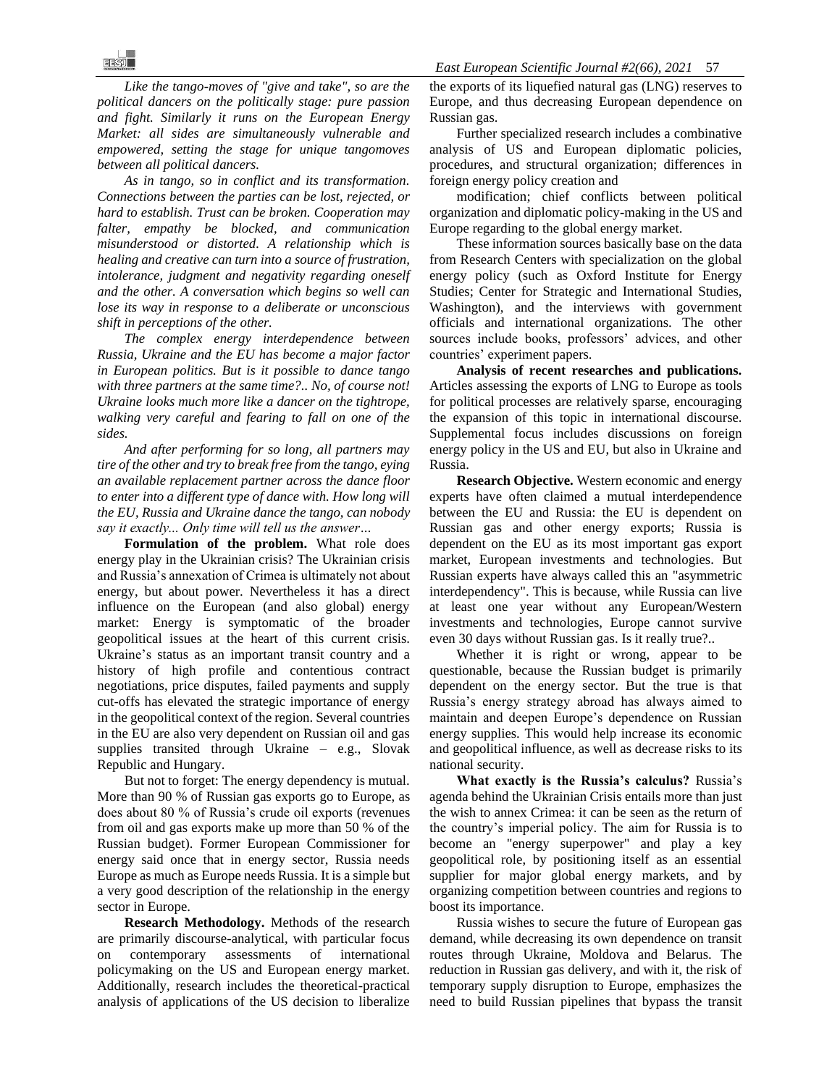*Like the tango-moves of "give and take", so are the political dancers on the politically stage: pure passion and fight. Similarly it runs on the European Energy Market: all sides are simultaneously vulnerable and empowered, setting the stage for unique tangomoves between all political dancers.* 

*As in tango, so in conflict and its transformation. Connections between the parties can be lost, rejected, or hard to establish. Trust can be broken. Cooperation may falter, empathy be blocked, and communication misunderstood or distorted. A relationship which is healing and creative can turn into a source of frustration, intolerance, judgment and negativity regarding oneself and the other. A conversation which begins so well can lose its way in response to a deliberate or unconscious shift in perceptions of the other.* 

*The complex energy interdependence between Russia, Ukraine and the EU has become a major factor in European politics. But is it possible to dance tango with three partners at the same time?.. No, of course not! Ukraine looks much more like a dancer on the tightrope, walking very careful and fearing to fall on one of the sides.*

*And after performing for so long, all partners may tire of the other and try to break free from the tango, eying an available replacement partner across the dance floor to enter into a different type of dance with. How long will the EU, Russia and Ukraine dance the tango, can nobody say it exactly... Only time will tell us the answer…* 

**Formulation of the problem.** What role does energy play in the Ukrainian crisis? The Ukrainian crisis and Russia's annexation of Crimea is ultimately not about energy, but about power. Nevertheless it has a direct influence on the European (and also global) energy market: Energy is symptomatic of the broader geopolitical issues at the heart of this current crisis. Ukraine's status as an important transit country and a history of high profile and contentious contract negotiations, price disputes, failed payments and supply cut-offs has elevated the strategic importance of energy in the geopolitical context of the region. Several countries in the EU are also very dependent on Russian oil and gas supplies transited through Ukraine – e.g., Slovak Republic and Hungary.

But not to forget: The energy dependency is mutual. More than 90 % of Russian gas exports go to Europe, as does about 80 % of Russia's crude oil exports (revenues from oil and gas exports make up more than 50 % of the Russian budget). Former European Commissioner for energy said once that in energy sector, Russia needs Europe as much as Europe needs Russia. It is a simple but a very good description of the relationship in the energy sector in Europe.

**Research Methodology.** Methods of the research are primarily discourse-analytical, with particular focus on contemporary assessments of international policymaking on the US and European energy market. Additionally, research includes the theoretical-practical analysis of applications of the US decision to liberalize

the exports of its liquefied natural gas (LNG) reserves to Europe, and thus decreasing European dependence on Russian gas.

Further specialized research includes a combinative analysis of US and European diplomatic policies, procedures, and structural organization; differences in foreign energy policy creation and

modification; chief conflicts between political organization and diplomatic policy-making in the US and Europe regarding to the global energy market.

These information sources basically base on the data from Research Centers with specialization on the global energy policy (such as Oxford Institute for Energy Studies; Center for Strategic and International Studies, Washington), and the interviews with government officials and international organizations. The other sources include books, professors' advices, and other countries' experiment papers.

**Analysis of recent researches and publications.** Articles assessing the exports of LNG to Europe as tools for political processes are relatively sparse, encouraging the expansion of this topic in international discourse. Supplemental focus includes discussions on foreign energy policy in the US and EU, but also in Ukraine and Russia.

**Research Objective.** Western economic and energy experts have often claimed a mutual interdependence between the EU and Russia: the EU is dependent on Russian gas and other energy exports; Russia is dependent on the EU as its most important gas export market, European investments and technologies. But Russian experts have always called this an "asymmetric interdependency". This is because, while Russia can live at least one year without any European/Western investments and technologies, Europe cannot survive even 30 days without Russian gas. Is it really true?..

Whether it is right or wrong, appear to be questionable, because the Russian budget is primarily dependent on the energy sector. But the true is that Russia's energy strategy abroad has always aimed to maintain and deepen Europe's dependence on Russian energy supplies. This would help increase its economic and geopolitical influence, as well as decrease risks to its national security.

**What exactly is the Russia's calculus?** Russia's agenda behind the Ukrainian Crisis entails more than just the wish to annex Crimea: it can be seen as the return of the country's imperial policy. The aim for Russia is to become an "energy superpower" and play a key geopolitical role, by positioning itself as an essential supplier for major global energy markets, and by organizing competition between countries and regions to boost its importance.

Russia wishes to secure the future of European gas demand, while decreasing its own dependence on transit routes through Ukraine, Moldova and Belarus. The reduction in Russian gas delivery, and with it, the risk of temporary supply disruption to Europe, emphasizes the need to build Russian pipelines that bypass the transit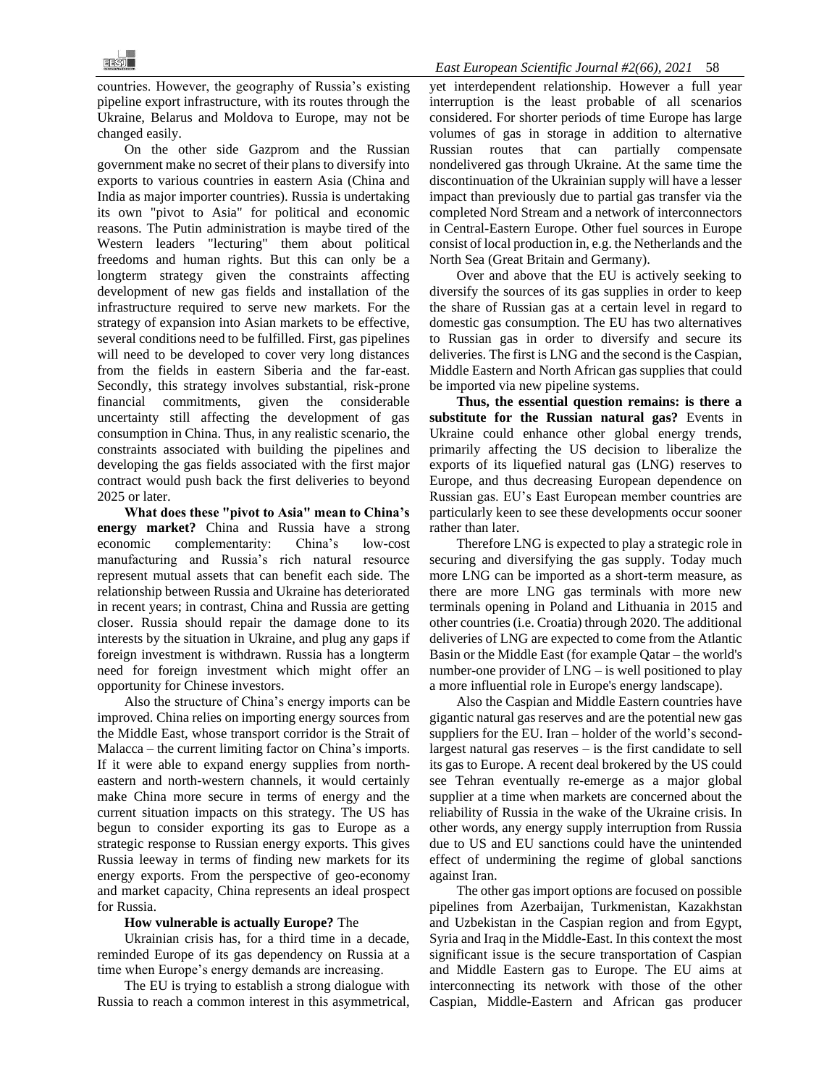countries. However, the geography of Russia's existing pipeline export infrastructure, with its routes through the Ukraine, Belarus and Moldova to Europe, may not be changed easily.

On the other side Gazprom and the Russian government make no secret of their plans to diversify into exports to various countries in eastern Asia (China and India as major importer countries). Russia is undertaking its own "pivot to Asia" for political and economic reasons. The Putin administration is maybe tired of the Western leaders "lecturing" them about political freedoms and human rights. But this can only be a longterm strategy given the constraints affecting development of new gas fields and installation of the infrastructure required to serve new markets. For the strategy of expansion into Asian markets to be effective, several conditions need to be fulfilled. First, gas pipelines will need to be developed to cover very long distances from the fields in eastern Siberia and the far-east. Secondly, this strategy involves substantial, risk-prone financial commitments, given the considerable uncertainty still affecting the development of gas consumption in China. Thus, in any realistic scenario, the constraints associated with building the pipelines and developing the gas fields associated with the first major contract would push back the first deliveries to beyond 2025 or later.

**What does these "pivot to Asia" mean to China's energy market?** China and Russia have a strong economic complementarity: China's low-cost manufacturing and Russia's rich natural resource represent mutual assets that can benefit each side. The relationship between Russia and Ukraine has deteriorated in recent years; in contrast, China and Russia are getting closer. Russia should repair the damage done to its interests by the situation in Ukraine, and plug any gaps if foreign investment is withdrawn. Russia has a longterm need for foreign investment which might offer an opportunity for Chinese investors.

Also the structure of China's energy imports can be improved. China relies on importing energy sources from the Middle East, whose transport corridor is the Strait of Malacca – the current limiting factor on China's imports. If it were able to expand energy supplies from northeastern and north-western channels, it would certainly make China more secure in terms of energy and the current situation impacts on this strategy. The US has begun to consider exporting its gas to Europe as a strategic response to Russian energy exports. This gives Russia leeway in terms of finding new markets for its energy exports. From the perspective of geo-economy and market capacity, China represents an ideal prospect for Russia.

#### **How vulnerable is actually Europe?** The

Ukrainian crisis has, for a third time in a decade, reminded Europe of its gas dependency on Russia at a time when Europe's energy demands are increasing.

The EU is trying to establish a strong dialogue with Russia to reach a common interest in this asymmetrical, yet interdependent relationship. However a full year interruption is the least probable of all scenarios considered. For shorter periods of time Europe has large volumes of gas in storage in addition to alternative Russian routes that can partially compensate nondelivered gas through Ukraine. At the same time the discontinuation of the Ukrainian supply will have a lesser impact than previously due to partial gas transfer via the completed Nord Stream and a network of interconnectors in Central-Eastern Europe. Other fuel sources in Europe consist of local production in, e.g. the Netherlands and the North Sea (Great Britain and Germany).

Over and above that the EU is actively seeking to diversify the sources of its gas supplies in order to keep the share of Russian gas at a certain level in regard to domestic gas consumption. The EU has two alternatives to Russian gas in order to diversify and secure its deliveries. The first is LNG and the second is the Caspian, Middle Eastern and North African gas supplies that could be imported via new pipeline systems.

**Thus, the essential question remains: is there a substitute for the Russian natural gas?** Events in Ukraine could enhance other global energy trends, primarily affecting the US decision to liberalize the exports of its liquefied natural gas (LNG) reserves to Europe, and thus decreasing European dependence on Russian gas. EU's East European member countries are particularly keen to see these developments occur sooner rather than later.

Therefore LNG is expected to play a strategic role in securing and diversifying the gas supply. Today much more LNG can be imported as a short-term measure, as there are more LNG gas terminals with more new terminals opening in Poland and Lithuania in 2015 and other countries (i.e. Croatia) through 2020. The additional deliveries of LNG are expected to come from the Atlantic Basin or the Middle East (for example Qatar – the world's number-one provider of LNG – is well positioned to play a more influential role in Europe's energy landscape).

Also the Caspian and Middle Eastern countries have gigantic natural gas reserves and are the potential new gas suppliers for the EU. Iran – holder of the world's secondlargest natural gas reserves – is the first candidate to sell its gas to Europe. A recent deal brokered by the US could see Tehran eventually re-emerge as a major global supplier at a time when markets are concerned about the reliability of Russia in the wake of the Ukraine crisis. In other words, any energy supply interruption from Russia due to US and EU sanctions could have the unintended effect of undermining the regime of global sanctions against Iran.

The other gas import options are focused on possible pipelines from Azerbaijan, Turkmenistan, Kazakhstan and Uzbekistan in the Caspian region and from Egypt, Syria and Iraq in the Middle-East. In this context the most significant issue is the secure transportation of Caspian and Middle Eastern gas to Europe. The EU aims at interconnecting its network with those of the other Caspian, Middle-Eastern and African gas producer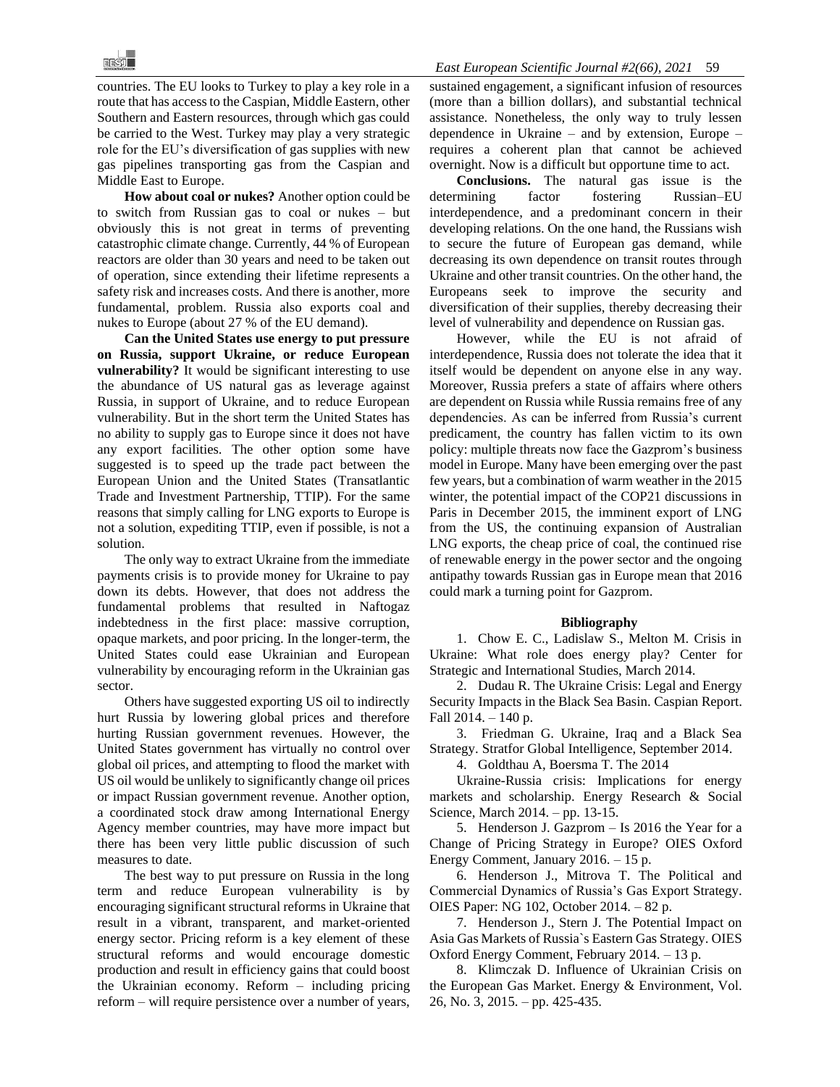countries. The EU looks to Turkey to play a key role in a route that has access to the Caspian, Middle Eastern, other Southern and Eastern resources, through which gas could be carried to the West. Turkey may play a very strategic role for the EU's diversification of gas supplies with new gas pipelines transporting gas from the Caspian and Middle East to Europe.

**How about coal or nukes?** Another option could be to switch from Russian gas to coal or nukes – but obviously this is not great in terms of preventing catastrophic climate change. Currently, 44 % of European reactors are older than 30 years and need to be taken out of operation, since extending their lifetime represents a safety risk and increases costs. And there is another, more fundamental, problem. Russia also exports coal and nukes to Europe (about 27 % of the EU demand).

**Can the United States use energy to put pressure on Russia, support Ukraine, or reduce European vulnerability?** It would be significant interesting to use the abundance of US natural gas as leverage against Russia, in support of Ukraine, and to reduce European vulnerability. But in the short term the United States has no ability to supply gas to Europe since it does not have any export facilities. The other option some have suggested is to speed up the trade pact between the European Union and the United States (Transatlantic Trade and Investment Partnership, TTIP). For the same reasons that simply calling for LNG exports to Europe is not a solution, expediting TTIP, even if possible, is not a solution.

The only way to extract Ukraine from the immediate payments crisis is to provide money for Ukraine to pay down its debts. However, that does not address the fundamental problems that resulted in Naftogaz indebtedness in the first place: massive corruption, opaque markets, and poor pricing. In the longer-term, the United States could ease Ukrainian and European vulnerability by encouraging reform in the Ukrainian gas sector.

Others have suggested exporting US oil to indirectly hurt Russia by lowering global prices and therefore hurting Russian government revenues. However, the United States government has virtually no control over global oil prices, and attempting to flood the market with US oil would be unlikely to significantly change oil prices or impact Russian government revenue. Another option, a coordinated stock draw among International Energy Agency member countries, may have more impact but there has been very little public discussion of such measures to date.

The best way to put pressure on Russia in the long term and reduce European vulnerability is by encouraging significant structural reforms in Ukraine that result in a vibrant, transparent, and market-oriented energy sector. Pricing reform is a key element of these structural reforms and would encourage domestic production and result in efficiency gains that could boost the Ukrainian economy. Reform – including pricing reform – will require persistence over a number of years,

sustained engagement, a significant infusion of resources (more than a billion dollars), and substantial technical assistance. Nonetheless, the only way to truly lessen dependence in Ukraine – and by extension, Europe – requires a coherent plan that cannot be achieved overnight. Now is a difficult but opportune time to act.

**Conclusions.** The natural gas issue is the determining factor fostering Russian–EU interdependence, and a predominant concern in their developing relations. On the one hand, the Russians wish to secure the future of European gas demand, while decreasing its own dependence on transit routes through Ukraine and other transit countries. On the other hand, the Europeans seek to improve the security and diversification of their supplies, thereby decreasing their level of vulnerability and dependence on Russian gas.

However, while the EU is not afraid of interdependence, Russia does not tolerate the idea that it itself would be dependent on anyone else in any way. Moreover, Russia prefers a state of affairs where others are dependent on Russia while Russia remains free of any dependencies. As can be inferred from Russia's current predicament, the country has fallen victim to its own policy: multiple threats now face the Gazprom's business model in Europe. Many have been emerging over the past few years, but a combination of warm weather in the 2015 winter, the potential impact of the COP21 discussions in Paris in December 2015, the imminent export of LNG from the US, the continuing expansion of Australian LNG exports, the cheap price of coal, the continued rise of renewable energy in the power sector and the ongoing antipathy towards Russian gas in Europe mean that 2016 could mark a turning point for Gazprom.

#### **Bibliography**

1. Chow E. C., Ladislaw S., Melton M. Crisis in Ukraine: What role does energy play? Center for Strategic and International Studies, March 2014.

2. Dudau R. The Ukraine Crisis: Legal and Energy Security Impacts in the Black Sea Basin. Caspian Report. Fall 2014. – 140 p.

3. Friedman G. Ukraine, Iraq and a Black Sea Strategy. Stratfor Global Intelligence, September 2014.

4. Goldthau A, Boersma T. The 2014

Ukraine-Russia crisis: Implications for energy markets and scholarship. Energy Research & Social Science, March 2014. – pp. 13-15.

5. Henderson J. Gazprom – Is 2016 the Year for a Change of Pricing Strategy in Europe? OIES Oxford Energy Comment, January 2016. – 15 p.

6. Henderson J., Mitrova T. The Political and Commercial Dynamics of Russia's Gas Export Strategy. OIES Paper: NG 102, October 2014. – 82 p.

7. Henderson J., Stern J. The Potential Impact on Asia Gas Markets of Russia`s Eastern Gas Strategy. OIES Oxford Energy Comment, February 2014. – 13 p.

8. Klimczak D. Influence of Ukrainian Crisis on the European Gas Market. Energy & Environment, Vol. 26, No. 3, 2015. – pp. 425-435.